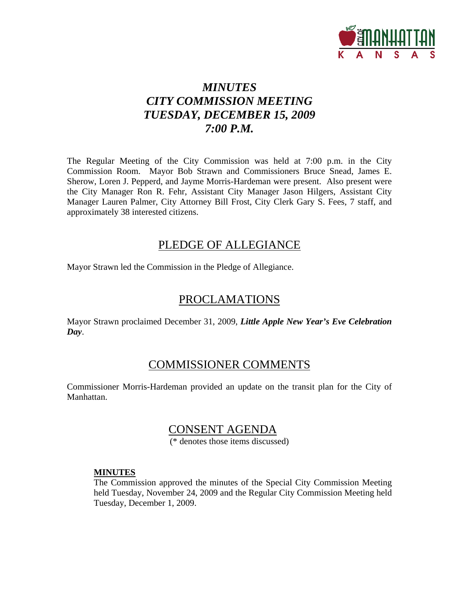

# *MINUTES CITY COMMISSION MEETING TUESDAY, DECEMBER 15, 2009 7:00 P.M.*

The Regular Meeting of the City Commission was held at 7:00 p.m. in the City Commission Room. Mayor Bob Strawn and Commissioners Bruce Snead, James E. Sherow, Loren J. Pepperd, and Jayme Morris-Hardeman were present. Also present were the City Manager Ron R. Fehr, Assistant City Manager Jason Hilgers, Assistant City Manager Lauren Palmer, City Attorney Bill Frost, City Clerk Gary S. Fees, 7 staff, and approximately 38 interested citizens.

# PLEDGE OF ALLEGIANCE

Mayor Strawn led the Commission in the Pledge of Allegiance.

# PROCLAMATIONS

Mayor Strawn proclaimed December 31, 2009, *Little Apple New Year's Eve Celebration Day*.

# COMMISSIONER COMMENTS

Commissioner Morris-Hardeman provided an update on the transit plan for the City of Manhattan.

# CONSENT AGENDA

(\* denotes those items discussed)

# **MINUTES**

The Commission approved the minutes of the Special City Commission Meeting held Tuesday, November 24, 2009 and the Regular City Commission Meeting held Tuesday, December 1, 2009.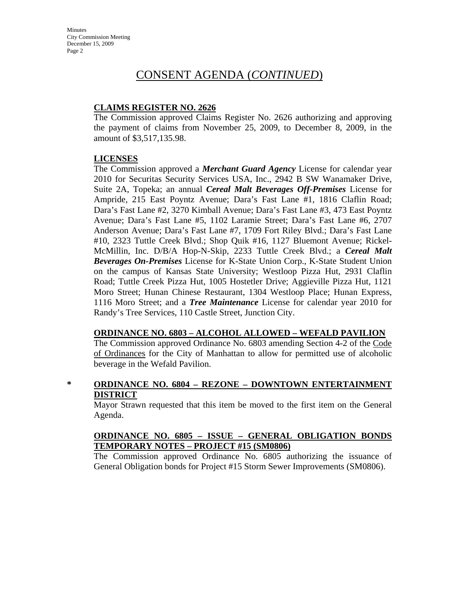# **CLAIMS REGISTER NO. 2626**

The Commission approved Claims Register No. 2626 authorizing and approving the payment of claims from November 25, 2009, to December 8, 2009, in the amount of \$3,517,135.98.

# **LICENSES**

The Commission approved a *Merchant Guard Agency* License for calendar year 2010 for Securitas Security Services USA, Inc., 2942 B SW Wanamaker Drive, Suite 2A, Topeka; an annual *Cereal Malt Beverages Off-Premises* License for Ampride, 215 East Poyntz Avenue; Dara's Fast Lane #1, 1816 Claflin Road; Dara's Fast Lane #2, 3270 Kimball Avenue; Dara's Fast Lane #3, 473 East Poyntz Avenue; Dara's Fast Lane #5, 1102 Laramie Street; Dara's Fast Lane #6, 2707 Anderson Avenue; Dara's Fast Lane #7, 1709 Fort Riley Blvd.; Dara's Fast Lane #10, 2323 Tuttle Creek Blvd.; Shop Quik #16, 1127 Bluemont Avenue; Rickel-McMillin, Inc. D/B/A Hop-N-Skip, 2233 Tuttle Creek Blvd.; a *Cereal Malt Beverages On-Premises* License for K-State Union Corp., K-State Student Union on the campus of Kansas State University; Westloop Pizza Hut, 2931 Claflin Road; Tuttle Creek Pizza Hut, 1005 Hostetler Drive; Aggieville Pizza Hut, 1121 Moro Street; Hunan Chinese Restaurant, 1304 Westloop Place; Hunan Express, 1116 Moro Street; and a *Tree Maintenance* License for calendar year 2010 for Randy's Tree Services, 110 Castle Street, Junction City.

# **ORDINANCE NO. 6803 – ALCOHOL ALLOWED – WEFALD PAVILION**

The Commission approved Ordinance No. 6803 amending Section 4-2 of the Code of Ordinances for the City of Manhattan to allow for permitted use of alcoholic beverage in the Wefald Pavilion.

# **\* ORDINANCE NO. 6804 – REZONE – DOWNTOWN ENTERTAINMENT DISTRICT**

Mayor Strawn requested that this item be moved to the first item on the General Agenda.

# **ORDINANCE NO. 6805 – ISSUE – GENERAL OBLIGATION BONDS TEMPORARY NOTES – PROJECT #15 (SM0806)**

The Commission approved Ordinance No. 6805 authorizing the issuance of General Obligation bonds for Project #15 Storm Sewer Improvements (SM0806).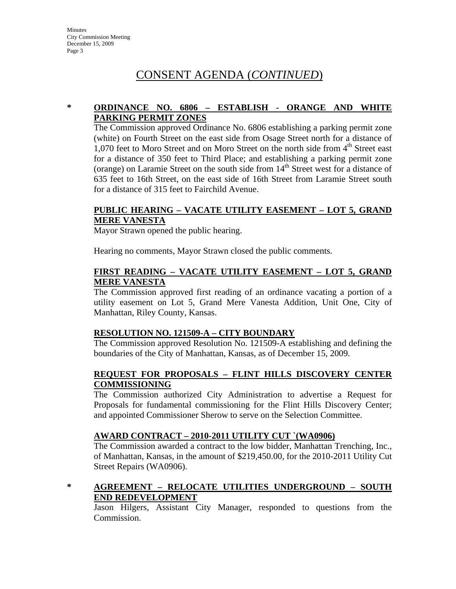# **\* ORDINANCE NO. 6806 – ESTABLISH - ORANGE AND WHITE PARKING PERMIT ZONES**

The Commission approved Ordinance No. 6806 establishing a parking permit zone (white) on Fourth Street on the east side from Osage Street north for a distance of 1,070 feet to Moro Street and on Moro Street on the north side from  $4<sup>th</sup>$  Street east for a distance of 350 feet to Third Place; and establishing a parking permit zone (orange) on Laramie Street on the south side from  $14<sup>th</sup>$  Street west for a distance of 635 feet to 16th Street, on the east side of 16th Street from Laramie Street south for a distance of 315 feet to Fairchild Avenue.

#### **PUBLIC HEARING – VACATE UTILITY EASEMENT – LOT 5, GRAND MERE VANESTA**

Mayor Strawn opened the public hearing.

Hearing no comments, Mayor Strawn closed the public comments.

# **FIRST READING – VACATE UTILITY EASEMENT – LOT 5, GRAND MERE VANESTA**

The Commission approved first reading of an ordinance vacating a portion of a utility easement on Lot 5, Grand Mere Vanesta Addition, Unit One, City of Manhattan, Riley County, Kansas.

# **RESOLUTION NO. 121509-A – CITY BOUNDARY**

The Commission approved Resolution No. 121509-A establishing and defining the boundaries of the City of Manhattan, Kansas, as of December 15, 2009.

# **REQUEST FOR PROPOSALS – FLINT HILLS DISCOVERY CENTER COMMISSIONING**

The Commission authorized City Administration to advertise a Request for Proposals for fundamental commissioning for the Flint Hills Discovery Center; and appointed Commissioner Sherow to serve on the Selection Committee.

#### **AWARD CONTRACT – 2010-2011 UTILITY CUT `(WA0906)**

The Commission awarded a contract to the low bidder, Manhattan Trenching, Inc., of Manhattan, Kansas, in the amount of \$219,450.00, for the 2010-2011 Utility Cut Street Repairs (WA0906).

# **\* AGREEMENT – RELOCATE UTILITIES UNDERGROUND – SOUTH END REDEVELOPMENT**

Jason Hilgers, Assistant City Manager, responded to questions from the Commission.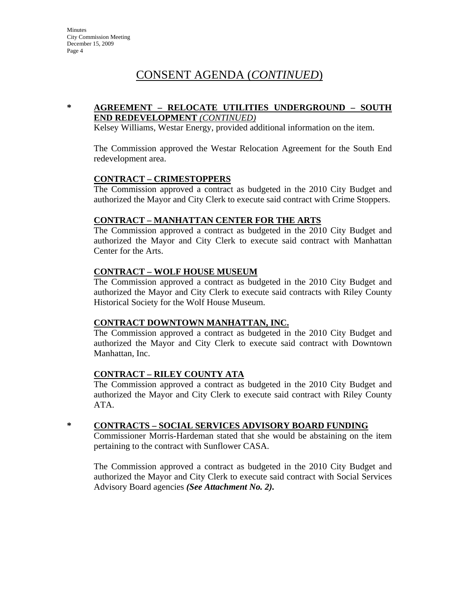### **\* AGREEMENT – RELOCATE UTILITIES UNDERGROUND – SOUTH END REDEVELOPMENT** *(CONTINUED)*

Kelsey Williams, Westar Energy, provided additional information on the item.

The Commission approved the Westar Relocation Agreement for the South End redevelopment area.

#### **CONTRACT – CRIMESTOPPERS**

The Commission approved a contract as budgeted in the 2010 City Budget and authorized the Mayor and City Clerk to execute said contract with Crime Stoppers.

#### **CONTRACT – MANHATTAN CENTER FOR THE ARTS**

The Commission approved a contract as budgeted in the 2010 City Budget and authorized the Mayor and City Clerk to execute said contract with Manhattan Center for the Arts.

#### **CONTRACT – WOLF HOUSE MUSEUM**

The Commission approved a contract as budgeted in the 2010 City Budget and authorized the Mayor and City Clerk to execute said contracts with Riley County Historical Society for the Wolf House Museum.

#### **CONTRACT DOWNTOWN MANHATTAN, INC.**

The Commission approved a contract as budgeted in the 2010 City Budget and authorized the Mayor and City Clerk to execute said contract with Downtown Manhattan, Inc.

#### **CONTRACT – RILEY COUNTY ATA**

The Commission approved a contract as budgeted in the 2010 City Budget and authorized the Mayor and City Clerk to execute said contract with Riley County ATA.

#### **\* CONTRACTS – SOCIAL SERVICES ADVISORY BOARD FUNDING**

Commissioner Morris-Hardeman stated that she would be abstaining on the item pertaining to the contract with Sunflower CASA.

The Commission approved a contract as budgeted in the 2010 City Budget and authorized the Mayor and City Clerk to execute said contract with Social Services Advisory Board agencies *(See Attachment No. 2).*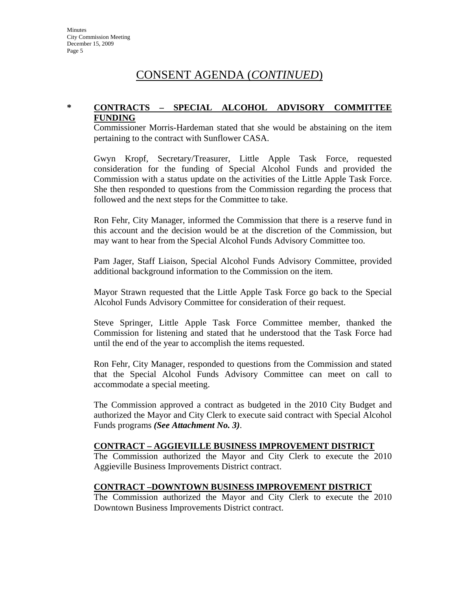### **\* CONTRACTS – SPECIAL ALCOHOL ADVISORY COMMITTEE FUNDING**

Commissioner Morris-Hardeman stated that she would be abstaining on the item pertaining to the contract with Sunflower CASA.

Gwyn Kropf, Secretary/Treasurer, Little Apple Task Force, requested consideration for the funding of Special Alcohol Funds and provided the Commission with a status update on the activities of the Little Apple Task Force. She then responded to questions from the Commission regarding the process that followed and the next steps for the Committee to take.

Ron Fehr, City Manager, informed the Commission that there is a reserve fund in this account and the decision would be at the discretion of the Commission, but may want to hear from the Special Alcohol Funds Advisory Committee too.

Pam Jager, Staff Liaison, Special Alcohol Funds Advisory Committee, provided additional background information to the Commission on the item.

Mayor Strawn requested that the Little Apple Task Force go back to the Special Alcohol Funds Advisory Committee for consideration of their request.

Steve Springer, Little Apple Task Force Committee member, thanked the Commission for listening and stated that he understood that the Task Force had until the end of the year to accomplish the items requested.

Ron Fehr, City Manager, responded to questions from the Commission and stated that the Special Alcohol Funds Advisory Committee can meet on call to accommodate a special meeting.

The Commission approved a contract as budgeted in the 2010 City Budget and authorized the Mayor and City Clerk to execute said contract with Special Alcohol Funds programs *(See Attachment No. 3)*.

# **CONTRACT – AGGIEVILLE BUSINESS IMPROVEMENT DISTRICT**

The Commission authorized the Mayor and City Clerk to execute the 2010 Aggieville Business Improvements District contract.

# **CONTRACT –DOWNTOWN BUSINESS IMPROVEMENT DISTRICT**

The Commission authorized the Mayor and City Clerk to execute the 2010 Downtown Business Improvements District contract.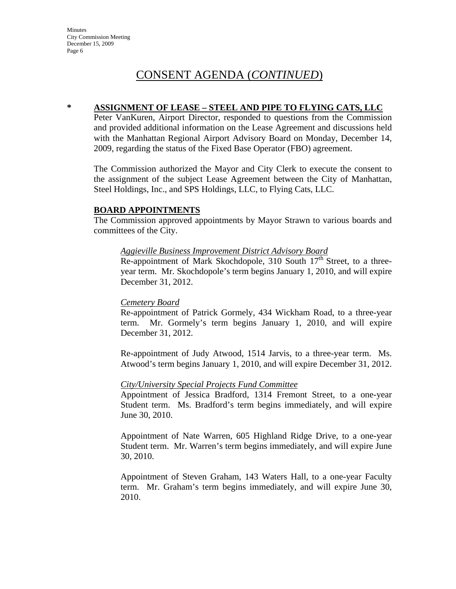#### **\* ASSIGNMENT OF LEASE – STEEL AND PIPE TO FLYING CATS, LLC**

Peter VanKuren, Airport Director, responded to questions from the Commission and provided additional information on the Lease Agreement and discussions held with the Manhattan Regional Airport Advisory Board on Monday, December 14, 2009, regarding the status of the Fixed Base Operator (FBO) agreement.

The Commission authorized the Mayor and City Clerk to execute the consent to the assignment of the subject Lease Agreement between the City of Manhattan, Steel Holdings, Inc., and SPS Holdings, LLC, to Flying Cats, LLC.

#### **BOARD APPOINTMENTS**

The Commission approved appointments by Mayor Strawn to various boards and committees of the City.

#### *Aggieville Business Improvement District Advisory Board*

Re-appointment of Mark Skochdopole, 310 South  $17<sup>th</sup>$  Street, to a threeyear term. Mr. Skochdopole's term begins January 1, 2010, and will expire December 31, 2012.

#### *Cemetery Board*

Re-appointment of Patrick Gormely, 434 Wickham Road, to a three-year term. Mr. Gormely's term begins January 1, 2010, and will expire December 31, 2012.

Re-appointment of Judy Atwood, 1514 Jarvis, to a three-year term. Ms. Atwood's term begins January 1, 2010, and will expire December 31, 2012.

#### *City/University Special Projects Fund Committee*

Appointment of Jessica Bradford, 1314 Fremont Street, to a one-year Student term. Ms. Bradford's term begins immediately, and will expire June 30, 2010.

Appointment of Nate Warren, 605 Highland Ridge Drive, to a one-year Student term. Mr. Warren's term begins immediately, and will expire June 30, 2010.

Appointment of Steven Graham, 143 Waters Hall, to a one-year Faculty term. Mr. Graham's term begins immediately, and will expire June 30, 2010.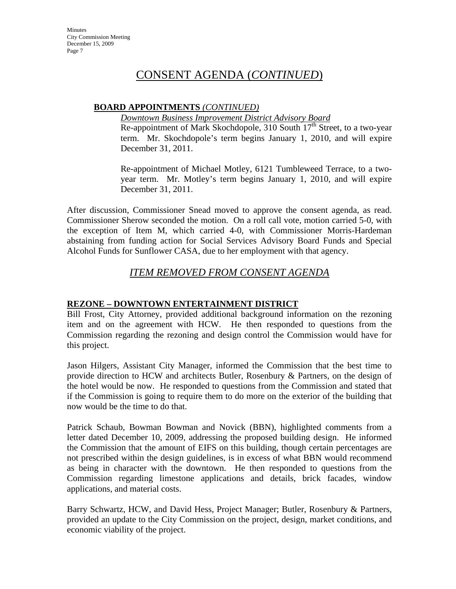# **BOARD APPOINTMENTS** *(CONTINUED)*

*Downtown Business Improvement District Advisory Board* Re-appointment of Mark Skochdopole, 310 South  $17<sup>th</sup>$  Street, to a two-year term. Mr. Skochdopole's term begins January 1, 2010, and will expire December 31, 2011.

Re-appointment of Michael Motley, 6121 Tumbleweed Terrace, to a twoyear term. Mr. Motley's term begins January 1, 2010, and will expire December 31, 2011.

After discussion, Commissioner Snead moved to approve the consent agenda, as read. Commissioner Sherow seconded the motion. On a roll call vote, motion carried 5-0, with the exception of Item M, which carried 4-0, with Commissioner Morris-Hardeman abstaining from funding action for Social Services Advisory Board Funds and Special Alcohol Funds for Sunflower CASA, due to her employment with that agency.

# *ITEM REMOVED FROM CONSENT AGENDA*

# **REZONE – DOWNTOWN ENTERTAINMENT DISTRICT**

Bill Frost, City Attorney, provided additional background information on the rezoning item and on the agreement with HCW. He then responded to questions from the Commission regarding the rezoning and design control the Commission would have for this project.

Jason Hilgers, Assistant City Manager, informed the Commission that the best time to provide direction to HCW and architects Butler, Rosenbury & Partners, on the design of the hotel would be now. He responded to questions from the Commission and stated that if the Commission is going to require them to do more on the exterior of the building that now would be the time to do that.

Patrick Schaub, Bowman Bowman and Novick (BBN), highlighted comments from a letter dated December 10, 2009, addressing the proposed building design. He informed the Commission that the amount of EIFS on this building, though certain percentages are not prescribed within the design guidelines, is in excess of what BBN would recommend as being in character with the downtown. He then responded to questions from the Commission regarding limestone applications and details, brick facades, window applications, and material costs.

Barry Schwartz, HCW, and David Hess, Project Manager; Butler, Rosenbury & Partners, provided an update to the City Commission on the project, design, market conditions, and economic viability of the project.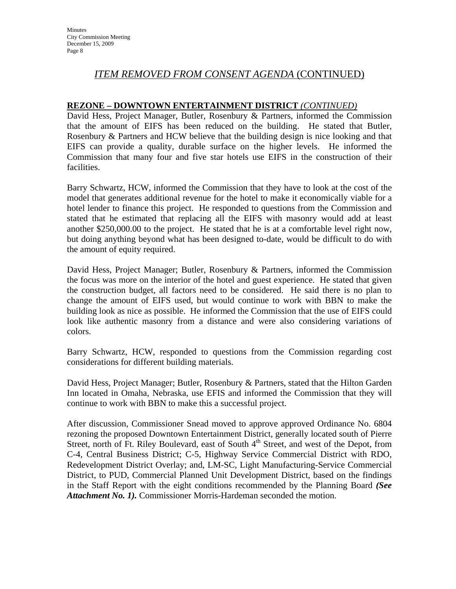# *ITEM REMOVED FROM CONSENT AGENDA* (CONTINUED)

#### **REZONE – DOWNTOWN ENTERTAINMENT DISTRICT** *(CONTINUED)*

David Hess, Project Manager, Butler, Rosenbury & Partners, informed the Commission that the amount of EIFS has been reduced on the building. He stated that Butler, Rosenbury & Partners and HCW believe that the building design is nice looking and that EIFS can provide a quality, durable surface on the higher levels. He informed the Commission that many four and five star hotels use EIFS in the construction of their facilities.

Barry Schwartz, HCW, informed the Commission that they have to look at the cost of the model that generates additional revenue for the hotel to make it economically viable for a hotel lender to finance this project. He responded to questions from the Commission and stated that he estimated that replacing all the EIFS with masonry would add at least another \$250,000.00 to the project. He stated that he is at a comfortable level right now, but doing anything beyond what has been designed to-date, would be difficult to do with the amount of equity required.

David Hess, Project Manager; Butler, Rosenbury & Partners, informed the Commission the focus was more on the interior of the hotel and guest experience. He stated that given the construction budget, all factors need to be considered. He said there is no plan to change the amount of EIFS used, but would continue to work with BBN to make the building look as nice as possible. He informed the Commission that the use of EIFS could look like authentic masonry from a distance and were also considering variations of colors.

Barry Schwartz, HCW, responded to questions from the Commission regarding cost considerations for different building materials.

David Hess, Project Manager; Butler, Rosenbury & Partners, stated that the Hilton Garden Inn located in Omaha, Nebraska, use EFIS and informed the Commission that they will continue to work with BBN to make this a successful project.

After discussion, Commissioner Snead moved to approve approved Ordinance No. 6804 rezoning the proposed Downtown Entertainment District, generally located south of Pierre Street, north of Ft. Riley Boulevard, east of South  $4<sup>th</sup>$  Street, and west of the Depot, from C-4, Central Business District; C-5, Highway Service Commercial District with RDO, Redevelopment District Overlay; and, LM-SC, Light Manufacturing-Service Commercial District, to PUD, Commercial Planned Unit Development District, based on the findings in the Staff Report with the eight conditions recommended by the Planning Board *(See Attachment No. 1).* Commissioner Morris-Hardeman seconded the motion.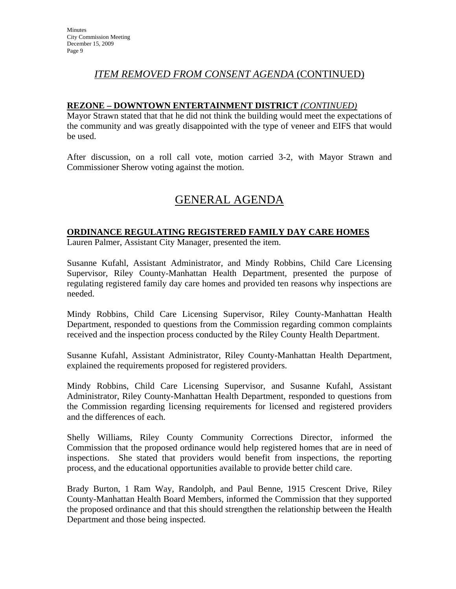# *ITEM REMOVED FROM CONSENT AGENDA* (CONTINUED)

#### **REZONE – DOWNTOWN ENTERTAINMENT DISTRICT** *(CONTINUED)*

Mayor Strawn stated that that he did not think the building would meet the expectations of the community and was greatly disappointed with the type of veneer and EIFS that would be used.

After discussion, on a roll call vote, motion carried 3-2, with Mayor Strawn and Commissioner Sherow voting against the motion.

# GENERAL AGENDA

#### **ORDINANCE REGULATING REGISTERED FAMILY DAY CARE HOMES**

Lauren Palmer, Assistant City Manager, presented the item.

Susanne Kufahl, Assistant Administrator, and Mindy Robbins, Child Care Licensing Supervisor, Riley County-Manhattan Health Department, presented the purpose of regulating registered family day care homes and provided ten reasons why inspections are needed.

Mindy Robbins, Child Care Licensing Supervisor, Riley County-Manhattan Health Department, responded to questions from the Commission regarding common complaints received and the inspection process conducted by the Riley County Health Department.

Susanne Kufahl, Assistant Administrator, Riley County-Manhattan Health Department, explained the requirements proposed for registered providers.

Mindy Robbins, Child Care Licensing Supervisor, and Susanne Kufahl, Assistant Administrator, Riley County-Manhattan Health Department, responded to questions from the Commission regarding licensing requirements for licensed and registered providers and the differences of each.

Shelly Williams, Riley County Community Corrections Director, informed the Commission that the proposed ordinance would help registered homes that are in need of inspections. She stated that providers would benefit from inspections, the reporting process, and the educational opportunities available to provide better child care.

Brady Burton, 1 Ram Way, Randolph, and Paul Benne, 1915 Crescent Drive, Riley County-Manhattan Health Board Members, informed the Commission that they supported the proposed ordinance and that this should strengthen the relationship between the Health Department and those being inspected.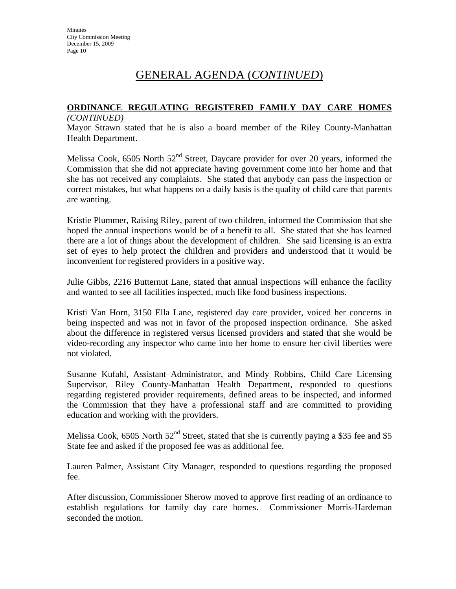# GENERAL AGENDA (*CONTINUED*)

# **ORDINANCE REGULATING REGISTERED FAMILY DAY CARE HOMES**

#### *(CONTINUED)*

Mayor Strawn stated that he is also a board member of the Riley County-Manhattan Health Department.

Melissa Cook, 6505 North 52<sup>nd</sup> Street, Daycare provider for over 20 years, informed the Commission that she did not appreciate having government come into her home and that she has not received any complaints. She stated that anybody can pass the inspection or correct mistakes, but what happens on a daily basis is the quality of child care that parents are wanting.

Kristie Plummer, Raising Riley, parent of two children, informed the Commission that she hoped the annual inspections would be of a benefit to all. She stated that she has learned there are a lot of things about the development of children. She said licensing is an extra set of eyes to help protect the children and providers and understood that it would be inconvenient for registered providers in a positive way.

Julie Gibbs, 2216 Butternut Lane, stated that annual inspections will enhance the facility and wanted to see all facilities inspected, much like food business inspections.

Kristi Van Horn, 3150 Ella Lane, registered day care provider, voiced her concerns in being inspected and was not in favor of the proposed inspection ordinance. She asked about the difference in registered versus licensed providers and stated that she would be video-recording any inspector who came into her home to ensure her civil liberties were not violated.

Susanne Kufahl, Assistant Administrator, and Mindy Robbins, Child Care Licensing Supervisor, Riley County-Manhattan Health Department, responded to questions regarding registered provider requirements, defined areas to be inspected, and informed the Commission that they have a professional staff and are committed to providing education and working with the providers.

Melissa Cook, 6505 North  $52<sup>nd</sup>$  Street, stated that she is currently paying a \$35 fee and \$5 State fee and asked if the proposed fee was as additional fee.

Lauren Palmer, Assistant City Manager, responded to questions regarding the proposed fee.

After discussion, Commissioner Sherow moved to approve first reading of an ordinance to establish regulations for family day care homes. Commissioner Morris-Hardeman seconded the motion.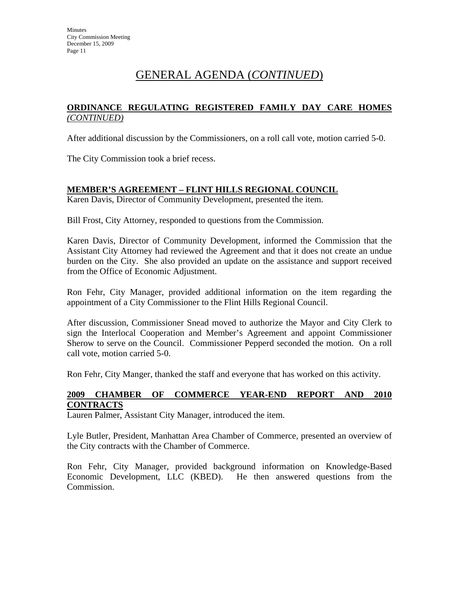# GENERAL AGENDA (*CONTINUED*)

# **ORDINANCE REGULATING REGISTERED FAMILY DAY CARE HOMES** *(CONTINUED)*

After additional discussion by the Commissioners, on a roll call vote, motion carried 5-0.

The City Commission took a brief recess.

# **MEMBER'S AGREEMENT – FLINT HILLS REGIONAL COUNCIL**

Karen Davis, Director of Community Development, presented the item.

Bill Frost, City Attorney, responded to questions from the Commission.

Karen Davis, Director of Community Development, informed the Commission that the Assistant City Attorney had reviewed the Agreement and that it does not create an undue burden on the City. She also provided an update on the assistance and support received from the Office of Economic Adjustment.

Ron Fehr, City Manager, provided additional information on the item regarding the appointment of a City Commissioner to the Flint Hills Regional Council.

After discussion, Commissioner Snead moved to authorize the Mayor and City Clerk to sign the Interlocal Cooperation and Member's Agreement and appoint Commissioner Sherow to serve on the Council. Commissioner Pepperd seconded the motion. On a roll call vote, motion carried 5-0.

Ron Fehr, City Manger, thanked the staff and everyone that has worked on this activity.

# **2009 CHAMBER OF COMMERCE YEAR-END REPORT AND 2010 CONTRACTS**

Lauren Palmer, Assistant City Manager, introduced the item.

Lyle Butler, President, Manhattan Area Chamber of Commerce, presented an overview of the City contracts with the Chamber of Commerce.

Ron Fehr, City Manager, provided background information on Knowledge-Based Economic Development, LLC (KBED). He then answered questions from the Commission.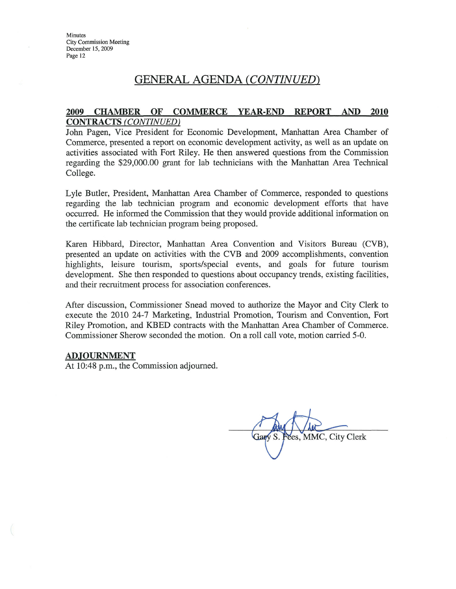# **GENERAL AGENDA (CONTINUED)**

#### **CHAMBER OF COMMERCE YEAR-END REPORT** AND 2010 2009 **CONTRACTS (CONTINUED)**

John Pagen, Vice President for Economic Development, Manhattan Area Chamber of Commerce, presented a report on economic development activity, as well as an update on activities associated with Fort Riley. He then answered questions from the Commission regarding the \$29,000.00 grant for lab technicians with the Manhattan Area Technical College.

Lyle Butler, President, Manhattan Area Chamber of Commerce, responded to questions regarding the lab technician program and economic development efforts that have occurred. He informed the Commission that they would provide additional information on the certificate lab technician program being proposed.

Karen Hibbard, Director, Manhattan Area Convention and Visitors Bureau (CVB), presented an update on activities with the CVB and 2009 accomplishments, convention highlights, leisure tourism, sports/special events, and goals for future tourism development. She then responded to questions about occupancy trends, existing facilities, and their recruitment process for association conferences.

After discussion, Commissioner Snead moved to authorize the Mayor and City Clerk to execute the 2010 24-7 Marketing, Industrial Promotion, Tourism and Convention, Fort Riley Promotion, and KBED contracts with the Manhattan Area Chamber of Commerce. Commissioner Sherow seconded the motion. On a roll call vote, motion carried 5-0.

#### **ADJOURNMENT**

At 10:48 p.m., the Commission adjourned.

Fees, MMC, City Clerk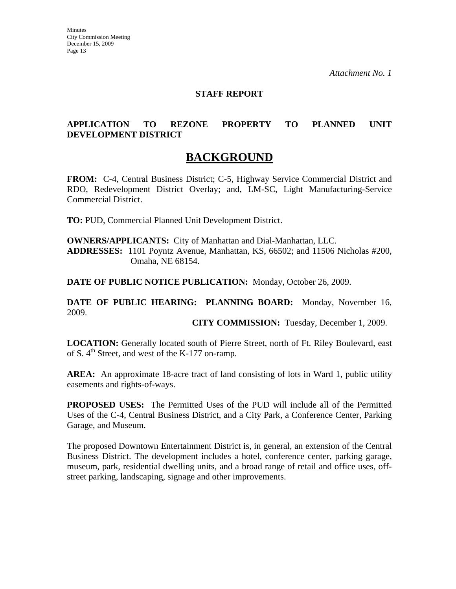#### **STAFF REPORT**

# **APPLICATION TO REZONE PROPERTY TO PLANNED UNIT DEVELOPMENT DISTRICT**

# **BACKGROUND**

**FROM:** C-4, Central Business District; C-5, Highway Service Commercial District and RDO, Redevelopment District Overlay; and, LM-SC, Light Manufacturing-Service Commercial District.

**TO:** PUD, Commercial Planned Unit Development District.

**OWNERS/APPLICANTS:** City of Manhattan and Dial-Manhattan, LLC. **ADDRESSES:** 1101 Poyntz Avenue, Manhattan, KS, 66502; and 11506 Nicholas #200, Omaha, NE 68154.

**DATE OF PUBLIC NOTICE PUBLICATION:** Monday, October 26, 2009.

**DATE OF PUBLIC HEARING: PLANNING BOARD:** Monday, November 16, 2009.

**CITY COMMISSION:** Tuesday, December 1, 2009.

LOCATION: Generally located south of Pierre Street, north of Ft. Riley Boulevard, east of S.  $4<sup>th</sup>$  Street, and west of the K-177 on-ramp.

**AREA:** An approximate 18-acre tract of land consisting of lots in Ward 1, public utility easements and rights-of-ways.

**PROPOSED USES:** The Permitted Uses of the PUD will include all of the Permitted Uses of the C-4, Central Business District, and a City Park, a Conference Center, Parking Garage, and Museum.

The proposed Downtown Entertainment District is, in general, an extension of the Central Business District. The development includes a hotel, conference center, parking garage, museum, park, residential dwelling units, and a broad range of retail and office uses, offstreet parking, landscaping, signage and other improvements.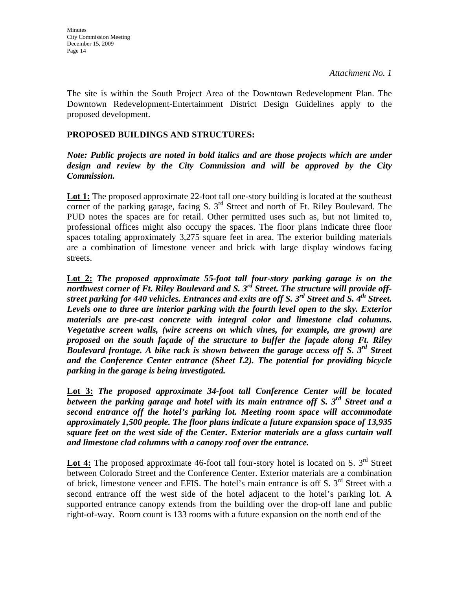The site is within the South Project Area of the Downtown Redevelopment Plan. The Downtown Redevelopment-Entertainment District Design Guidelines apply to the proposed development.

# **PROPOSED BUILDINGS AND STRUCTURES:**

# *Note: Public projects are noted in bold italics and are those projects which are under design and review by the City Commission and will be approved by the City Commission.*

**Lot 1:** The proposed approximate 22-foot tall one-story building is located at the southeast corner of the parking garage, facing S.  $3<sup>rd</sup>$  Street and north of Ft. Riley Boulevard. The PUD notes the spaces are for retail. Other permitted uses such as, but not limited to, professional offices might also occupy the spaces. The floor plans indicate three floor spaces totaling approximately 3,275 square feet in area. The exterior building materials are a combination of limestone veneer and brick with large display windows facing streets.

**Lot 2:** *The proposed approximate 55-foot tall four-story parking garage is on the northwest corner of Ft. Riley Boulevard and S. 3rd Street. The structure will provide offstreet parking for 440 vehicles. Entrances and exits are off S. 3rd Street and S. 4th Street. Levels one to three are interior parking with the fourth level open to the sky. Exterior materials are pre-cast concrete with integral color and limestone clad columns. Vegetative screen walls, (wire screens on which vines, for example, are grown) are proposed on the south façade of the structure to buffer the façade along Ft. Riley Boulevard frontage. A bike rack is shown between the garage access off S. 3rd Street and the Conference Center entrance (Sheet L2). The potential for providing bicycle parking in the garage is being investigated.* 

**Lot 3:** *The proposed approximate 34-foot tall Conference Center will be located between the parking garage and hotel with its main entrance off S. 3rd Street and a second entrance off the hotel's parking lot. Meeting room space will accommodate approximately 1,500 people. The floor plans indicate a future expansion space of 13,935 square feet on the west side of the Center. Exterior materials are a glass curtain wall and limestone clad columns with a canopy roof over the entrance.* 

Lot 4: The proposed approximate 46-foot tall four-story hotel is located on S. 3<sup>rd</sup> Street between Colorado Street and the Conference Center. Exterior materials are a combination of brick, limestone veneer and EFIS. The hotel's main entrance is off S.  $3<sup>rd</sup>$  Street with a second entrance off the west side of the hotel adjacent to the hotel's parking lot. A supported entrance canopy extends from the building over the drop-off lane and public right-of-way. Room count is 133 rooms with a future expansion on the north end of the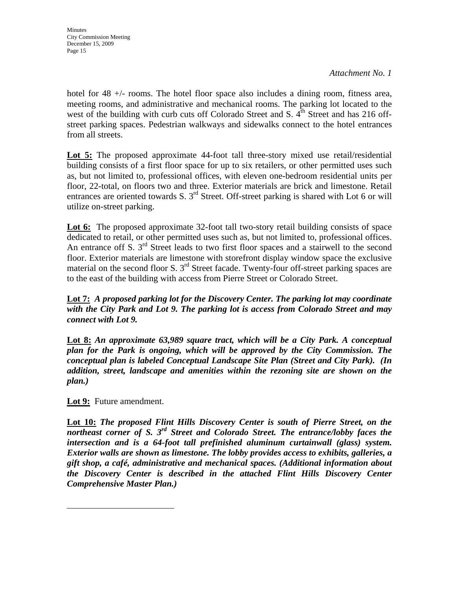*Attachment No. 1* 

hotel for 48  $+/-$  rooms. The hotel floor space also includes a dining room, fitness area, meeting rooms, and administrative and mechanical rooms. The parking lot located to the west of the building with curb cuts off Colorado Street and S.  $4<sup>th</sup>$  Street and has 216 offstreet parking spaces. Pedestrian walkways and sidewalks connect to the hotel entrances from all streets.

**Lot 5:** The proposed approximate 44-foot tall three-story mixed use retail/residential building consists of a first floor space for up to six retailers, or other permitted uses such as, but not limited to, professional offices, with eleven one-bedroom residential units per floor, 22-total, on floors two and three. Exterior materials are brick and limestone. Retail entrances are oriented towards S. 3<sup>rd</sup> Street. Off-street parking is shared with Lot 6 or will utilize on-street parking.

Lot 6: The proposed approximate 32-foot tall two-story retail building consists of space dedicated to retail, or other permitted uses such as, but not limited to, professional offices. An entrance off S.  $3<sup>rd</sup>$  Street leads to two first floor spaces and a stairwell to the second floor. Exterior materials are limestone with storefront display window space the exclusive material on the second floor S.  $3<sup>rd</sup>$  Street facade. Twenty-four off-street parking spaces are to the east of the building with access from Pierre Street or Colorado Street.

**Lot 7:** *A proposed parking lot for the Discovery Center. The parking lot may coordinate with the City Park and Lot 9. The parking lot is access from Colorado Street and may connect with Lot 9.* 

**Lot 8:** *An approximate 63,989 square tract, which will be a City Park. A conceptual plan for the Park is ongoing, which will be approved by the City Commission. The conceptual plan is labeled Conceptual Landscape Site Plan (Street and City Park). (In addition, street, landscape and amenities within the rezoning site are shown on the plan.)*

**Lot 9:** Future amendment.

**Lot 10:** *The proposed Flint Hills Discovery Center is south of Pierre Street, on the northeast corner of S. 3rd Street and Colorado Street. The entrance/lobby faces the intersection and is a 64-foot tall prefinished aluminum curtainwall (glass) system. Exterior walls are shown as limestone. The lobby provides access to exhibits, galleries, a gift shop, a café, administrative and mechanical spaces. (Additional information about the Discovery Center is described in the attached Flint Hills Discovery Center Comprehensive Master Plan.)*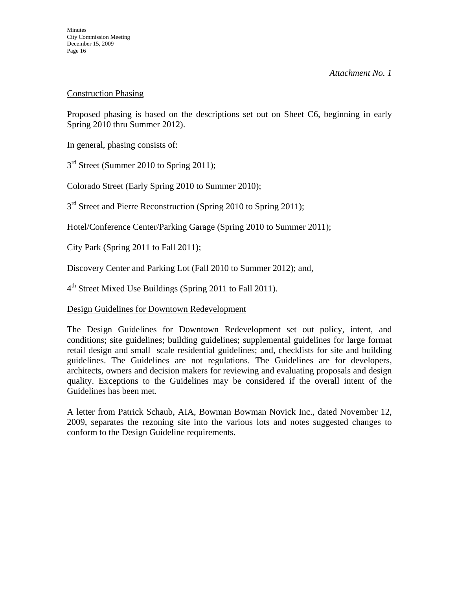# Construction Phasing

Proposed phasing is based on the descriptions set out on Sheet C6, beginning in early Spring 2010 thru Summer 2012).

In general, phasing consists of:

3<sup>rd</sup> Street (Summer 2010 to Spring 2011);

Colorado Street (Early Spring 2010 to Summer 2010);

3<sup>rd</sup> Street and Pierre Reconstruction (Spring 2010 to Spring 2011);

Hotel/Conference Center/Parking Garage (Spring 2010 to Summer 2011);

City Park (Spring 2011 to Fall 2011);

Discovery Center and Parking Lot (Fall 2010 to Summer 2012); and,

4<sup>th</sup> Street Mixed Use Buildings (Spring 2011 to Fall 2011).

# Design Guidelines for Downtown Redevelopment

The Design Guidelines for Downtown Redevelopment set out policy, intent, and conditions; site guidelines; building guidelines; supplemental guidelines for large format retail design and small scale residential guidelines; and, checklists for site and building guidelines. The Guidelines are not regulations. The Guidelines are for developers, architects, owners and decision makers for reviewing and evaluating proposals and design quality. Exceptions to the Guidelines may be considered if the overall intent of the Guidelines has been met.

A letter from Patrick Schaub, AIA, Bowman Bowman Novick Inc., dated November 12, 2009, separates the rezoning site into the various lots and notes suggested changes to conform to the Design Guideline requirements.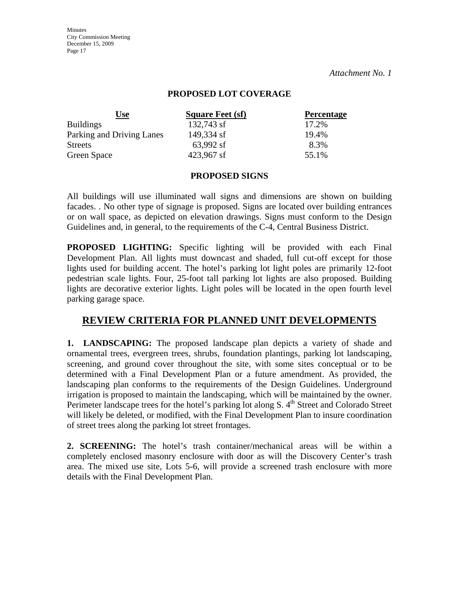#### **PROPOSED LOT COVERAGE**

| <u>Use</u>                | <b>Square Feet (sf)</b> | <b>Percentage</b> |
|---------------------------|-------------------------|-------------------|
| <b>Buildings</b>          | 132,743 sf              | 17.2%             |
| Parking and Driving Lanes | 149,334 sf              | 19.4%             |
| <b>Streets</b>            | 63,992 sf               | 8.3%              |
| Green Space               | 423,967 sf              | 55.1%             |

#### **PROPOSED SIGNS**

All buildings will use illuminated wall signs and dimensions are shown on building facades. . No other type of signage is proposed. Signs are located over building entrances or on wall space, as depicted on elevation drawings. Signs must conform to the Design Guidelines and, in general, to the requirements of the C-4, Central Business District.

**PROPOSED LIGHTING:** Specific lighting will be provided with each Final Development Plan. All lights must downcast and shaded, full cut-off except for those lights used for building accent. The hotel's parking lot light poles are primarily 12-foot pedestrian scale lights. Four, 25-foot tall parking lot lights are also proposed. Building lights are decorative exterior lights. Light poles will be located in the open fourth level parking garage space.

# **REVIEW CRITERIA FOR PLANNED UNIT DEVELOPMENTS**

**1. LANDSCAPING:** The proposed landscape plan depicts a variety of shade and ornamental trees, evergreen trees, shrubs, foundation plantings, parking lot landscaping, screening, and ground cover throughout the site, with some sites conceptual or to be determined with a Final Development Plan or a future amendment. As provided, the landscaping plan conforms to the requirements of the Design Guidelines. Underground irrigation is proposed to maintain the landscaping, which will be maintained by the owner. Perimeter landscape trees for the hotel's parking lot along S. 4<sup>th</sup> Street and Colorado Street will likely be deleted, or modified, with the Final Development Plan to insure coordination of street trees along the parking lot street frontages.

**2. SCREENING:** The hotel's trash container/mechanical areas will be within a completely enclosed masonry enclosure with door as will the Discovery Center's trash area. The mixed use site, Lots 5-6, will provide a screened trash enclosure with more details with the Final Development Plan.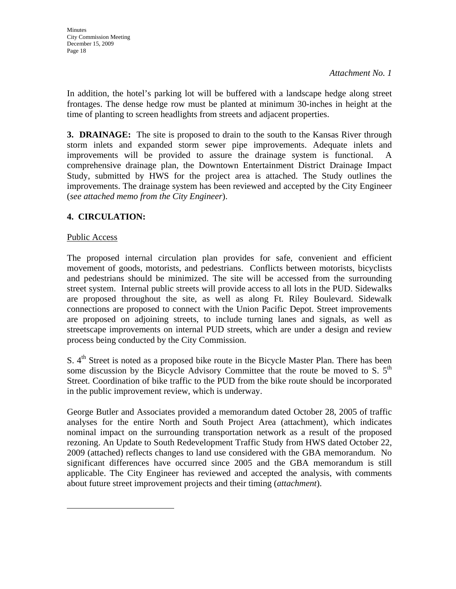In addition, the hotel's parking lot will be buffered with a landscape hedge along street frontages. The dense hedge row must be planted at minimum 30-inches in height at the time of planting to screen headlights from streets and adjacent properties.

**3. DRAINAGE:** The site is proposed to drain to the south to the Kansas River through storm inlets and expanded storm sewer pipe improvements. Adequate inlets and improvements will be provided to assure the drainage system is functional. A comprehensive drainage plan, the Downtown Entertainment District Drainage Impact Study, submitted by HWS for the project area is attached. The Study outlines the improvements. The drainage system has been reviewed and accepted by the City Engineer (*see attached memo from the City Engineer*).

# **4. CIRCULATION:**

# Public Access

The proposed internal circulation plan provides for safe, convenient and efficient movement of goods, motorists, and pedestrians. Conflicts between motorists, bicyclists and pedestrians should be minimized. The site will be accessed from the surrounding street system. Internal public streets will provide access to all lots in the PUD. Sidewalks are proposed throughout the site, as well as along Ft. Riley Boulevard. Sidewalk connections are proposed to connect with the Union Pacific Depot. Street improvements are proposed on adjoining streets, to include turning lanes and signals, as well as streetscape improvements on internal PUD streets, which are under a design and review process being conducted by the City Commission.

S. 4<sup>th</sup> Street is noted as a proposed bike route in the Bicycle Master Plan. There has been some discussion by the Bicycle Advisory Committee that the route be moved to S.  $5<sup>th</sup>$ Street. Coordination of bike traffic to the PUD from the bike route should be incorporated in the public improvement review, which is underway.

George Butler and Associates provided a memorandum dated October 28, 2005 of traffic analyses for the entire North and South Project Area (attachment), which indicates nominal impact on the surrounding transportation network as a result of the proposed rezoning. An Update to South Redevelopment Traffic Study from HWS dated October 22, 2009 (attached) reflects changes to land use considered with the GBA memorandum. No significant differences have occurred since 2005 and the GBA memorandum is still applicable. The City Engineer has reviewed and accepted the analysis, with comments about future street improvement projects and their timing (*attachment*).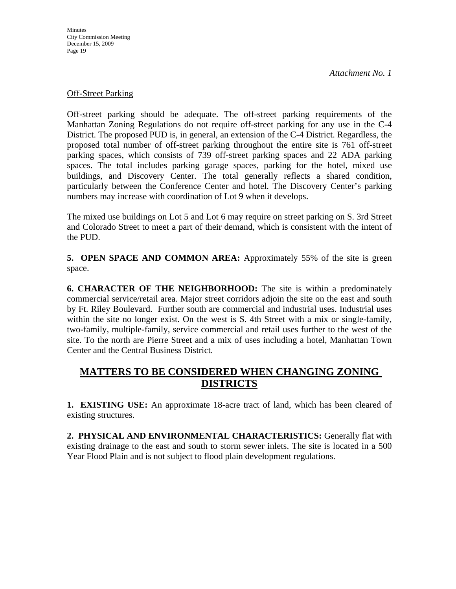#### Off-Street Parking

Off-street parking should be adequate. The off-street parking requirements of the Manhattan Zoning Regulations do not require off-street parking for any use in the C-4 District. The proposed PUD is, in general, an extension of the C-4 District. Regardless, the proposed total number of off-street parking throughout the entire site is 761 off-street parking spaces, which consists of 739 off-street parking spaces and 22 ADA parking spaces. The total includes parking garage spaces, parking for the hotel, mixed use buildings, and Discovery Center. The total generally reflects a shared condition, particularly between the Conference Center and hotel. The Discovery Center's parking numbers may increase with coordination of Lot 9 when it develops.

The mixed use buildings on Lot 5 and Lot 6 may require on street parking on S. 3rd Street and Colorado Street to meet a part of their demand, which is consistent with the intent of the PUD.

**5. OPEN SPACE AND COMMON AREA:** Approximately 55% of the site is green space.

**6. CHARACTER OF THE NEIGHBORHOOD:** The site is within a predominately commercial service/retail area. Major street corridors adjoin the site on the east and south by Ft. Riley Boulevard. Further south are commercial and industrial uses. Industrial uses within the site no longer exist. On the west is S. 4th Street with a mix or single-family, two-family, multiple-family, service commercial and retail uses further to the west of the site. To the north are Pierre Street and a mix of uses including a hotel, Manhattan Town Center and the Central Business District.

# **MATTERS TO BE CONSIDERED WHEN CHANGING ZONING DISTRICTS**

**1. EXISTING USE:** An approximate 18-acre tract of land, which has been cleared of existing structures.

**2. PHYSICAL AND ENVIRONMENTAL CHARACTERISTICS:** Generally flat with existing drainage to the east and south to storm sewer inlets. The site is located in a 500 Year Flood Plain and is not subject to flood plain development regulations.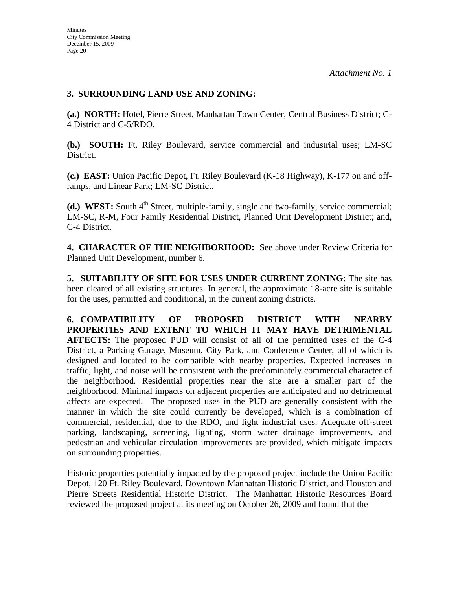# **3. SURROUNDING LAND USE AND ZONING:**

**(a.) NORTH:** Hotel, Pierre Street, Manhattan Town Center, Central Business District; C-4 District and C-5/RDO.

**(b.) SOUTH:** Ft. Riley Boulevard, service commercial and industrial uses; LM-SC District.

**(c.) EAST:** Union Pacific Depot, Ft. Riley Boulevard (K-18 Highway), K-177 on and offramps, and Linear Park; LM-SC District.

**(d.) WEST:** South 4<sup>th</sup> Street, multiple-family, single and two-family, service commercial; LM-SC, R-M, Four Family Residential District, Planned Unit Development District; and, C-4 District.

**4. CHARACTER OF THE NEIGHBORHOOD:** See above under Review Criteria for Planned Unit Development, number 6.

**5. SUITABILITY OF SITE FOR USES UNDER CURRENT ZONING:** The site has been cleared of all existing structures. In general, the approximate 18-acre site is suitable for the uses, permitted and conditional, in the current zoning districts.

**6. COMPATIBILITY OF PROPOSED DISTRICT WITH NEARBY PROPERTIES AND EXTENT TO WHICH IT MAY HAVE DETRIMENTAL AFFECTS:** The proposed PUD will consist of all of the permitted uses of the C-4 District, a Parking Garage, Museum, City Park, and Conference Center, all of which is designed and located to be compatible with nearby properties. Expected increases in traffic, light, and noise will be consistent with the predominately commercial character of the neighborhood. Residential properties near the site are a smaller part of the neighborhood. Minimal impacts on adjacent properties are anticipated and no detrimental affects are expected. The proposed uses in the PUD are generally consistent with the manner in which the site could currently be developed, which is a combination of commercial, residential, due to the RDO, and light industrial uses. Adequate off-street parking, landscaping, screening, lighting, storm water drainage improvements, and pedestrian and vehicular circulation improvements are provided, which mitigate impacts on surrounding properties.

Historic properties potentially impacted by the proposed project include the Union Pacific Depot, 120 Ft. Riley Boulevard, Downtown Manhattan Historic District, and Houston and Pierre Streets Residential Historic District. The Manhattan Historic Resources Board reviewed the proposed project at its meeting on October 26, 2009 and found that the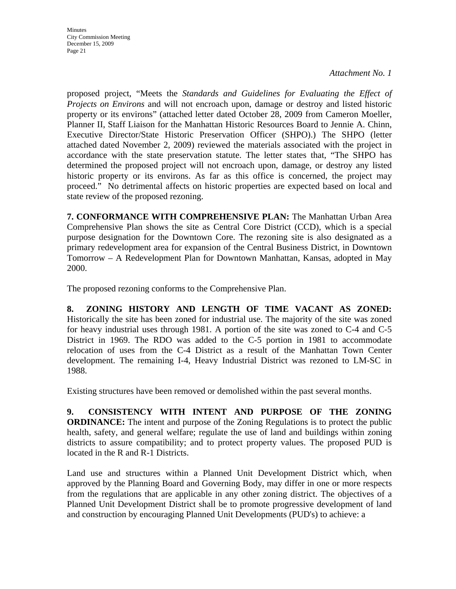*Attachment No. 1* 

proposed project, "Meets the *Standards and Guidelines for Evaluating the Effect of Projects on Environs* and will not encroach upon, damage or destroy and listed historic property or its environs" (attached letter dated October 28, 2009 from Cameron Moeller, Planner II, Staff Liaison for the Manhattan Historic Resources Board to Jennie A. Chinn, Executive Director/State Historic Preservation Officer (SHPO).) The SHPO (letter attached dated November 2, 2009) reviewed the materials associated with the project in accordance with the state preservation statute. The letter states that, "The SHPO has determined the proposed project will not encroach upon, damage, or destroy any listed historic property or its environs. As far as this office is concerned, the project may proceed." No detrimental affects on historic properties are expected based on local and state review of the proposed rezoning.

**7. CONFORMANCE WITH COMPREHENSIVE PLAN:** The Manhattan Urban Area Comprehensive Plan shows the site as Central Core District (CCD), which is a special purpose designation for the Downtown Core. The rezoning site is also designated as a primary redevelopment area for expansion of the Central Business District, in Downtown Tomorrow – A Redevelopment Plan for Downtown Manhattan, Kansas, adopted in May 2000.

The proposed rezoning conforms to the Comprehensive Plan.

**8. ZONING HISTORY AND LENGTH OF TIME VACANT AS ZONED:** Historically the site has been zoned for industrial use. The majority of the site was zoned for heavy industrial uses through 1981. A portion of the site was zoned to C-4 and C-5 District in 1969. The RDO was added to the C-5 portion in 1981 to accommodate relocation of uses from the C-4 District as a result of the Manhattan Town Center development. The remaining I-4, Heavy Industrial District was rezoned to LM-SC in 1988.

Existing structures have been removed or demolished within the past several months.

**9. CONSISTENCY WITH INTENT AND PURPOSE OF THE ZONING ORDINANCE:** The intent and purpose of the Zoning Regulations is to protect the public health, safety, and general welfare; regulate the use of land and buildings within zoning districts to assure compatibility; and to protect property values. The proposed PUD is located in the R and R-1 Districts.

Land use and structures within a Planned Unit Development District which, when approved by the Planning Board and Governing Body, may differ in one or more respects from the regulations that are applicable in any other zoning district. The objectives of a Planned Unit Development District shall be to promote progressive development of land and construction by encouraging Planned Unit Developments (PUD's) to achieve: a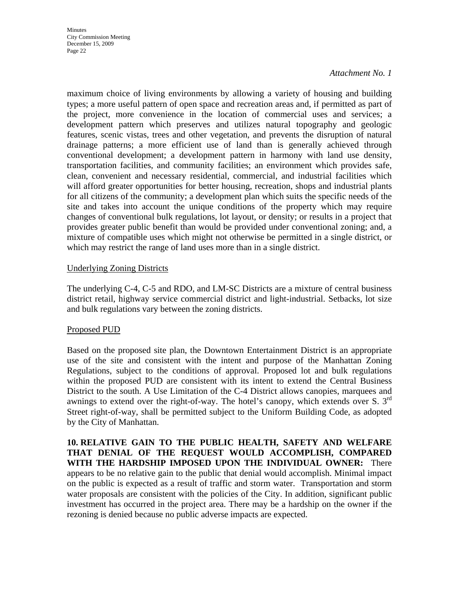#### *Attachment No. 1*

maximum choice of living environments by allowing a variety of housing and building types; a more useful pattern of open space and recreation areas and, if permitted as part of the project, more convenience in the location of commercial uses and services; a development pattern which preserves and utilizes natural topography and geologic features, scenic vistas, trees and other vegetation, and prevents the disruption of natural drainage patterns; a more efficient use of land than is generally achieved through conventional development; a development pattern in harmony with land use density, transportation facilities, and community facilities; an environment which provides safe, clean, convenient and necessary residential, commercial, and industrial facilities which will afford greater opportunities for better housing, recreation, shops and industrial plants for all citizens of the community; a development plan which suits the specific needs of the site and takes into account the unique conditions of the property which may require changes of conventional bulk regulations, lot layout, or density; or results in a project that provides greater public benefit than would be provided under conventional zoning; and, a mixture of compatible uses which might not otherwise be permitted in a single district, or which may restrict the range of land uses more than in a single district.

#### Underlying Zoning Districts

The underlying C-4, C-5 and RDO, and LM-SC Districts are a mixture of central business district retail, highway service commercial district and light-industrial. Setbacks, lot size and bulk regulations vary between the zoning districts.

#### Proposed PUD

Based on the proposed site plan, the Downtown Entertainment District is an appropriate use of the site and consistent with the intent and purpose of the Manhattan Zoning Regulations, subject to the conditions of approval. Proposed lot and bulk regulations within the proposed PUD are consistent with its intent to extend the Central Business District to the south. A Use Limitation of the C-4 District allows canopies, marquees and awnings to extend over the right-of-way. The hotel's canopy, which extends over S.  $3<sup>rd</sup>$ Street right-of-way, shall be permitted subject to the Uniform Building Code, as adopted by the City of Manhattan.

**10. RELATIVE GAIN TO THE PUBLIC HEALTH, SAFETY AND WELFARE THAT DENIAL OF THE REQUEST WOULD ACCOMPLISH, COMPARED WITH THE HARDSHIP IMPOSED UPON THE INDIVIDUAL OWNER:** There appears to be no relative gain to the public that denial would accomplish. Minimal impact on the public is expected as a result of traffic and storm water. Transportation and storm water proposals are consistent with the policies of the City. In addition, significant public investment has occurred in the project area. There may be a hardship on the owner if the rezoning is denied because no public adverse impacts are expected.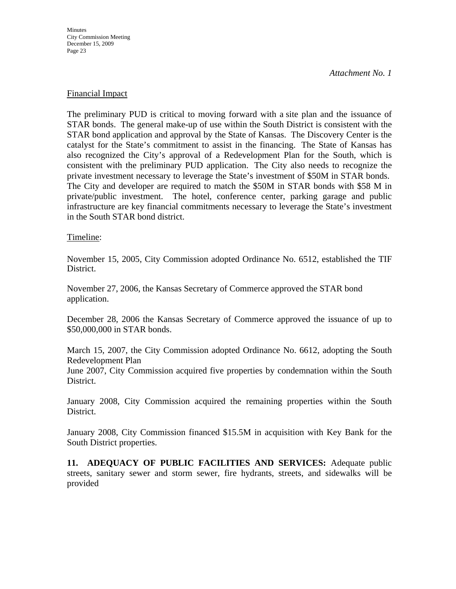*Attachment No. 1* 

#### Financial Impact

The preliminary PUD is critical to moving forward with a site plan and the issuance of STAR bonds. The general make-up of use within the South District is consistent with the STAR bond application and approval by the State of Kansas. The Discovery Center is the catalyst for the State's commitment to assist in the financing. The State of Kansas has also recognized the City's approval of a Redevelopment Plan for the South, which is consistent with the preliminary PUD application. The City also needs to recognize the private investment necessary to leverage the State's investment of \$50M in STAR bonds. The City and developer are required to match the \$50M in STAR bonds with \$58 M in private/public investment. The hotel, conference center, parking garage and public infrastructure are key financial commitments necessary to leverage the State's investment in the South STAR bond district.

#### Timeline:

November 15, 2005, City Commission adopted Ordinance No. 6512, established the TIF District.

November 27, 2006, the Kansas Secretary of Commerce approved the STAR bond application.

December 28, 2006 the Kansas Secretary of Commerce approved the issuance of up to \$50,000,000 in STAR bonds.

March 15, 2007, the City Commission adopted Ordinance No. 6612, adopting the South Redevelopment Plan

June 2007, City Commission acquired five properties by condemnation within the South District.

January 2008, City Commission acquired the remaining properties within the South District.

January 2008, City Commission financed \$15.5M in acquisition with Key Bank for the South District properties.

**11. ADEQUACY OF PUBLIC FACILITIES AND SERVICES:** Adequate public streets, sanitary sewer and storm sewer, fire hydrants, streets, and sidewalks will be provided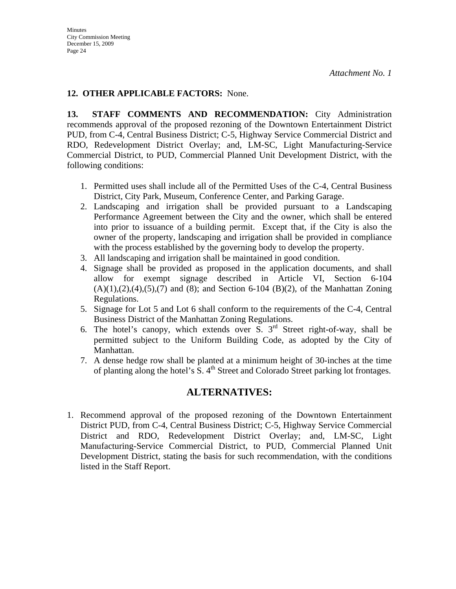# **12. OTHER APPLICABLE FACTORS:** None.

**13. STAFF COMMENTS AND RECOMMENDATION:** City Administration recommends approval of the proposed rezoning of the Downtown Entertainment District PUD, from C-4, Central Business District; C-5, Highway Service Commercial District and RDO, Redevelopment District Overlay; and, LM-SC, Light Manufacturing-Service Commercial District, to PUD, Commercial Planned Unit Development District, with the following conditions:

- 1. Permitted uses shall include all of the Permitted Uses of the C-4, Central Business District, City Park, Museum, Conference Center, and Parking Garage.
- 2. Landscaping and irrigation shall be provided pursuant to a Landscaping Performance Agreement between the City and the owner, which shall be entered into prior to issuance of a building permit. Except that, if the City is also the owner of the property, landscaping and irrigation shall be provided in compliance with the process established by the governing body to develop the property.
- 3. All landscaping and irrigation shall be maintained in good condition.
- 4. Signage shall be provided as proposed in the application documents, and shall allow for exempt signage described in Article VI, Section 6-104  $(A)(1), (2), (4), (5), (7)$  and (8); and Section 6-104 (B)(2), of the Manhattan Zoning Regulations.
- 5. Signage for Lot 5 and Lot 6 shall conform to the requirements of the C-4, Central Business District of the Manhattan Zoning Regulations.
- 6. The hotel's canopy, which extends over  $\overline{S}$ . 3<sup>rd</sup> Street right-of-way, shall be permitted subject to the Uniform Building Code, as adopted by the City of Manhattan.
- 7. A dense hedge row shall be planted at a minimum height of 30-inches at the time of planting along the hotel's  $\overline{S}$ .  $4^{\text{th}}$  Street and Colorado Street parking lot frontages.

# **ALTERNATIVES:**

1. Recommend approval of the proposed rezoning of the Downtown Entertainment District PUD, from C-4, Central Business District; C-5, Highway Service Commercial District and RDO, Redevelopment District Overlay; and, LM-SC, Light Manufacturing-Service Commercial District, to PUD, Commercial Planned Unit Development District, stating the basis for such recommendation, with the conditions listed in the Staff Report.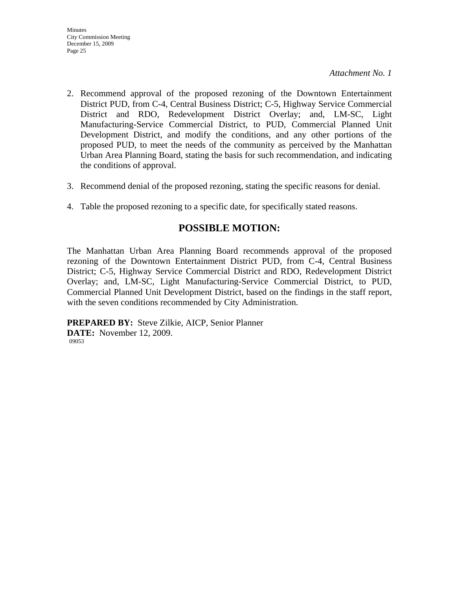- 2. Recommend approval of the proposed rezoning of the Downtown Entertainment District PUD, from C-4, Central Business District; C-5, Highway Service Commercial District and RDO, Redevelopment District Overlay; and, LM-SC, Light Manufacturing-Service Commercial District, to PUD, Commercial Planned Unit Development District, and modify the conditions, and any other portions of the proposed PUD, to meet the needs of the community as perceived by the Manhattan Urban Area Planning Board, stating the basis for such recommendation, and indicating the conditions of approval.
- 3. Recommend denial of the proposed rezoning, stating the specific reasons for denial.
- 4. Table the proposed rezoning to a specific date, for specifically stated reasons.

# **POSSIBLE MOTION:**

The Manhattan Urban Area Planning Board recommends approval of the proposed rezoning of the Downtown Entertainment District PUD, from C-4, Central Business District; C-5, Highway Service Commercial District and RDO, Redevelopment District Overlay; and, LM-SC, Light Manufacturing-Service Commercial District, to PUD, Commercial Planned Unit Development District, based on the findings in the staff report, with the seven conditions recommended by City Administration.

**PREPARED BY:** Steve Zilkie, AICP, Senior Planner **DATE:** November 12, 2009. 09053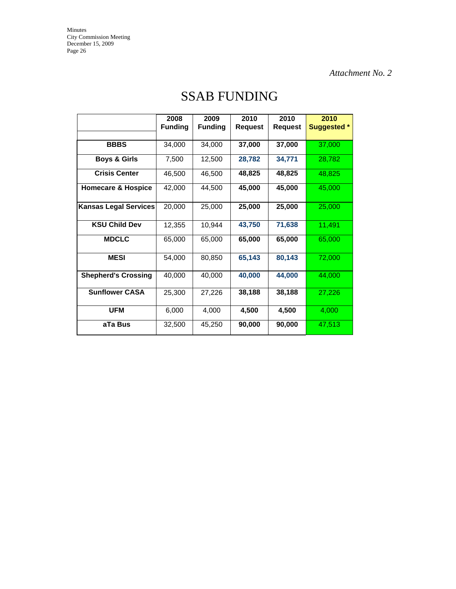*Attachment No. 2* 

|                               | 2008<br><b>Funding</b> | 2009<br><b>Funding</b> | 2010<br>Request | 2010<br>Request | 2010<br><b>Suggested *</b> |
|-------------------------------|------------------------|------------------------|-----------------|-----------------|----------------------------|
| <b>BBBS</b>                   | 34,000                 | 34,000                 | 37,000          | 37,000          | 37,000                     |
| <b>Boys &amp; Girls</b>       | 7,500                  | 12,500                 | 28,782          | 34,771          | 28,782                     |
| <b>Crisis Center</b>          | 46,500                 | 46,500                 | 48,825          | 48,825          | 48,825                     |
| <b>Homecare &amp; Hospice</b> | 42,000                 | 44,500                 | 45,000          | 45,000          | 45,000                     |
| <b>Kansas Legal Services</b>  | 20,000                 | 25,000                 | 25,000          | 25,000          | 25,000                     |
| <b>KSU Child Dev</b>          | 12,355                 | 10,944                 | 43,750          | 71,638          | 11,491                     |
| <b>MDCLC</b>                  | 65,000                 | 65,000                 | 65,000          | 65,000          | 65,000                     |
| <b>MESI</b>                   | 54,000                 | 80,850                 | 65,143          | 80,143          | 72,000                     |
| <b>Shepherd's Crossing</b>    | 40,000                 | 40,000                 | 40,000          | 44,000          | 44,000                     |
| <b>Sunflower CASA</b>         | 25,300                 | 27,226                 | 38,188          | 38,188          | 27,226                     |
| <b>UFM</b>                    | 6,000                  | 4,000                  | 4,500           | 4,500           | 4,000                      |
| aTa Bus                       | 32,500                 | 45,250                 | 90,000          | 90,000          | 47,513                     |

# SSAB FUNDING